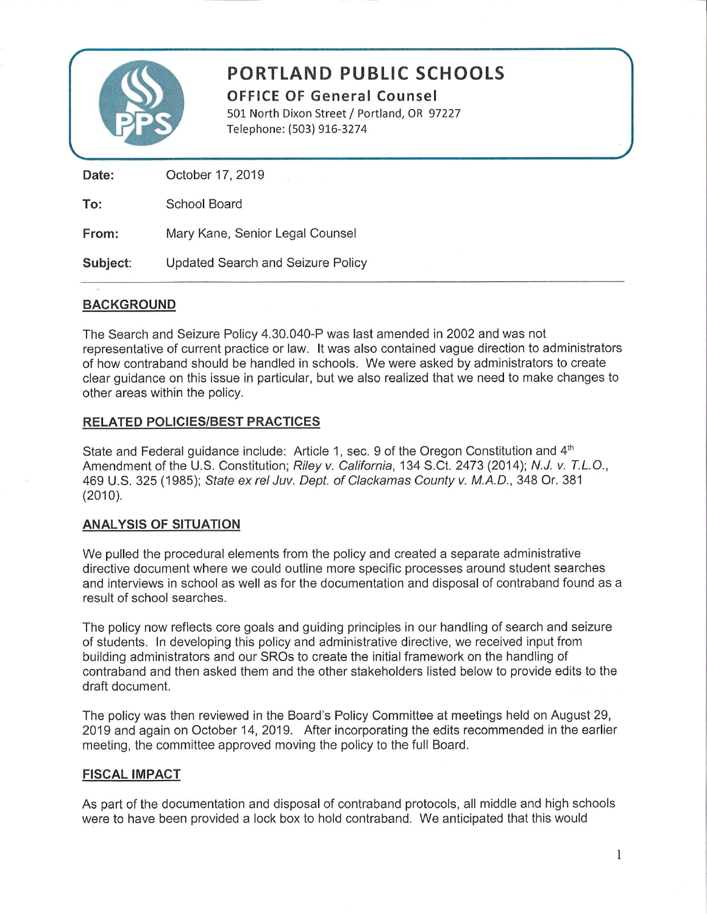

# **PORTLAND PUBLIC SCHOOLS**

**OFFICE OF General Counsel** 501 North Dixon Street / Portland, OR 97227 Telephone: (503) 916-3274

October 17, 2019 Date: To: **School Board** From: Mary Kane, Senior Legal Counsel

**Updated Search and Seizure Policy** Subject:

## **BACKGROUND**

The Search and Seizure Policy 4.30.040-P was last amended in 2002 and was not representative of current practice or law. It was also contained vague direction to administrators of how contraband should be handled in schools. We were asked by administrators to create clear quidance on this issue in particular, but we also realized that we need to make changes to other areas within the policy.

### **RELATED POLICIES/BEST PRACTICES**

State and Federal guidance include: Article 1, sec. 9 of the Oregon Constitution and 4th Amendment of the U.S. Constitution; Riley v. California, 134 S.Ct. 2473 (2014); N.J. v. T.L.O., 469 U.S. 325 (1985); State ex rel Juv. Dept. of Clackamas County v. M.A.D., 348 Or. 381  $(2010).$ 

### **ANALYSIS OF SITUATION**

We pulled the procedural elements from the policy and created a separate administrative directive document where we could outline more specific processes around student searches and interviews in school as well as for the documentation and disposal of contraband found as a result of school searches.

The policy now reflects core goals and guiding principles in our handling of search and seizure of students. In developing this policy and administrative directive, we received input from building administrators and our SROs to create the initial framework on the handling of contraband and then asked them and the other stakeholders listed below to provide edits to the draft document.

The policy was then reviewed in the Board's Policy Committee at meetings held on August 29, 2019 and again on October 14, 2019. After incorporating the edits recommended in the earlier meeting, the committee approved moving the policy to the full Board.

### **FISCAL IMPACT**

As part of the documentation and disposal of contraband protocols, all middle and high schools were to have been provided a lock box to hold contraband. We anticipated that this would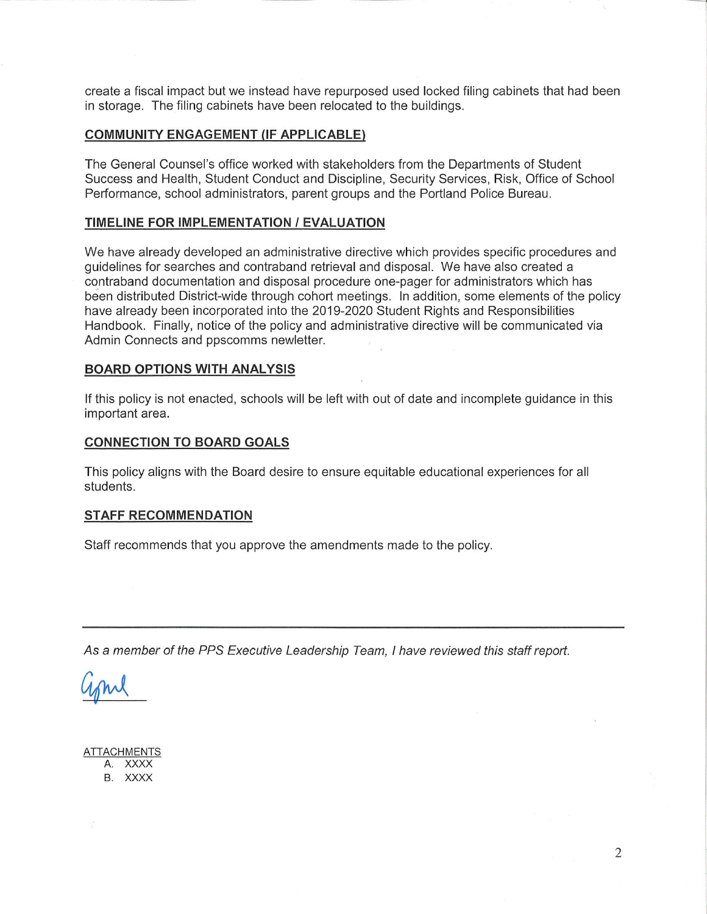create a fiscal impact but we instead have repurposed used locked filing cabinets that had been in storage. The filing cabinets have been relocated to the buildings.

#### **COMMUNITY ENGAGEMENT (IF APPLICABLE)**

The General Counsel's office worked with stakeholders from the Departments of Student Success and Health, Student Conduct and Discipline, Security Services, Risk, Office of School Performance, school administrators, parent groups and the Portland Police Bureau.

#### **TIMELINE FOR IMPLEMENTATION / EVALUATION**

We have already developed an administrative directive which provides specific procedures and guidelines for searches and contraband retrieval and disposal. We have also created a contraband documentation and disposal procedure one-pager for administrators which has been distributed District-wide through cohort meetings. In addition, some elements of the policy have already been incorporated into the 2019-2020 Student Rights and Responsibilities Handbook. Finally, notice of the policy and administrative directive will be communicated via Admin Connects and ppscomms newletter.

#### **BOARD OPTIONS WITH ANALYSIS**

If this policy is not enacted, schools will be left with out of date and incomplete guidance in this important area.

#### **CONNECTION TO BOARD GOALS**

This policy aligns with the Board desire to ensure equitable educational experiences for all students.

#### **STAFF RECOMMENDATION**

Staff recommends that you approve the amendments made to the policy.

As a member of the PPS Executive Leadership Team, I have reviewed this staff report.

**ATTACHMENTS** A. XXXX B. XXXX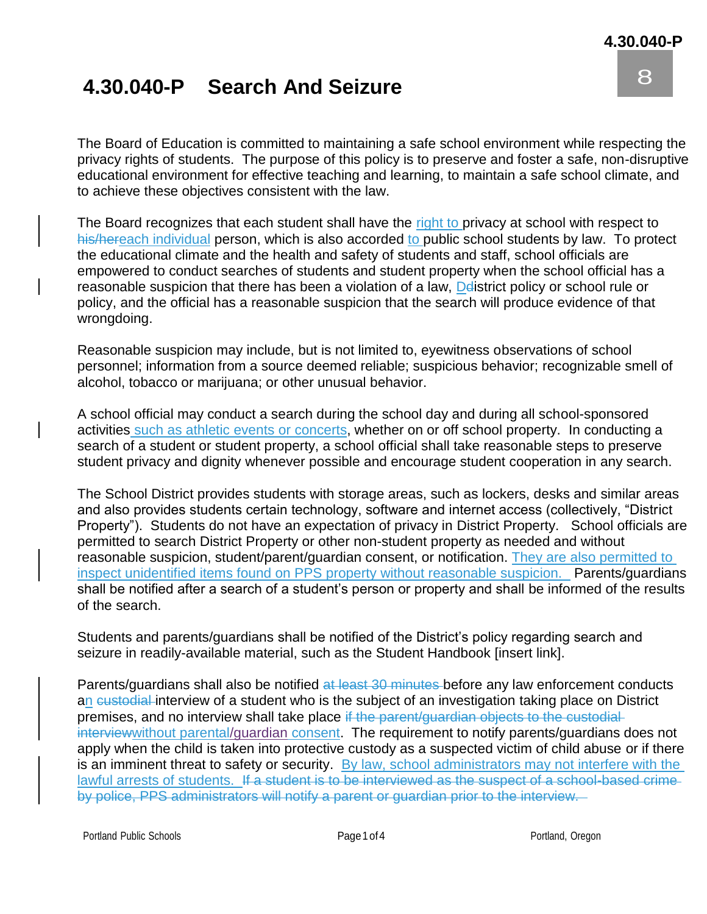8

0

## **4.30.040-P Search And Seizure**

The Board of Education is committed to maintaining a safe school environment while respecting the A privacy rights of students. The purpose of this policy is to preserve and foster a safe, non-disruptive educational environment for effective teaching and learning, to maintain a safe school climate, and R to achieve these objectives consistent with the law.

The Board recognizes that each student shall have the **right to privacy at school with respect** to his/hereach individual person, which is also accorded to public school students by law. To protect the educational climate and the health and safety of students and staff, school officials are empowered to conduct searches of students and student property when the school official has a reasonable suspicion that there has been a violation of a law, Delistrict policy or school rule or policy, and the official has a reasonable suspicion that the search will produce evidence of that<br>wronodoing wrongdoing.

Reasonable suspicion may include, but is not limited to, eyewitness observations of school personnel; information from a source deemed reliable; suspicious behavior; recognizable smell of l alcohol, tobacco or marijuana; or other unusual behavior.

A school official may conduct a search during the school day and during all school-sponsored C activities such as athletic events or concerts, whether on or off school property. In conducting a search of a student or student property, a school official shall take reasonable steps to preserve<br>student privacy and dignity whenever possible and encourage student cooperation in any search student privacy and dignity whenever possible and encourage student cooperation in any search.

The School District provides students with storage areas, such as lockers, desks and similar areas and also provides students certain technology, software and internet access (collectively, "District Property"). Students do not have an expectation of privacy in District Property. School officials are permitted to search District Property or other non-student property as needed and without reasonable suspicion, student/parent/guardian consent, or notification. They are also permitted to inspect unidentified items found on PPS property without reasonable suspicion. Parents/guardians shall be notified after a search of a student's person or property and shall be informed of the results of the search.

Students and parents/guardians shall be notified of the District's policy regarding search and seizure in readily-available material, such as the Student Handbook [insert link].

Parents/guardians shall also be notified at least 30 minutes before any law enforcement conducts an custodial interview of a student who is the subject of an investigation taking place on District premises, and no interview shall take place if the parent/guardian objects to the custodialinterview without parental/guardian consent. The requirement to notify parents/guardians does not apply when the child is taken into protective custody as a suspected victim of child abuse or if there is an imminent threat to safety or security. By law, school administrators may not interfere with the lawful arrests of students. If a student is to be interviewed as the suspect of a school-based crimeby police, PPS administrators will notify a parent or guardian prior to the interview.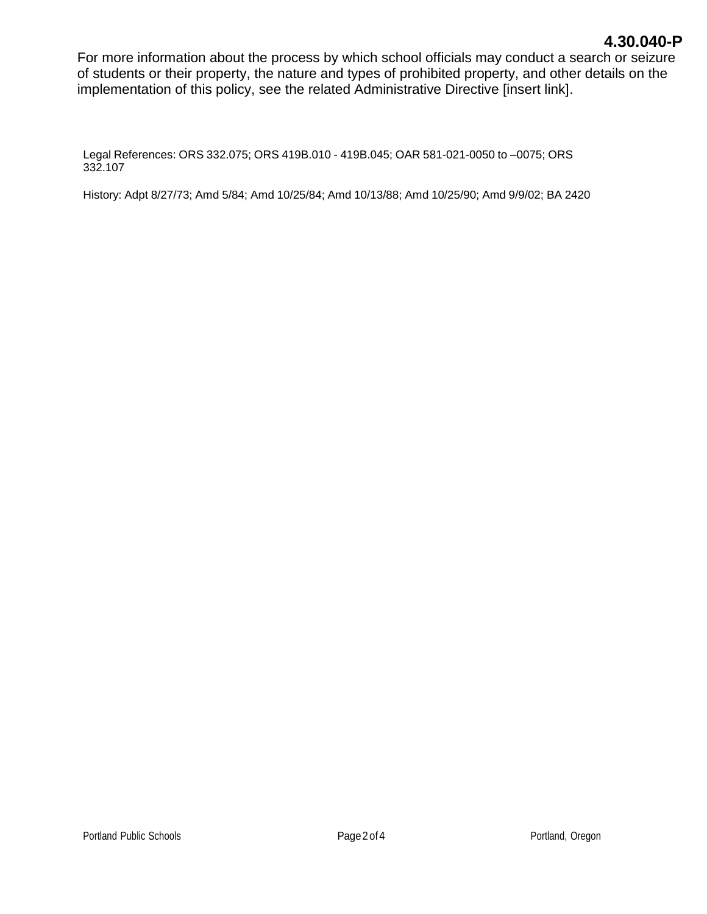## **4.30.040-P**

For more information about the process by which school officials may conduct a search or seizure of students or their property, the nature and types of prohibited property, and other details on the implementation of this policy, see the related Administrative Directive [insert link].

Legal References: ORS 332.075; ORS 419B.010 - 419B.045; OAR 581-021-0050 to –0075; ORS 332.107

History: Adpt 8/27/73; Amd 5/84; Amd 10/25/84; Amd 10/13/88; Amd 10/25/90; Amd 9/9/02; BA 2420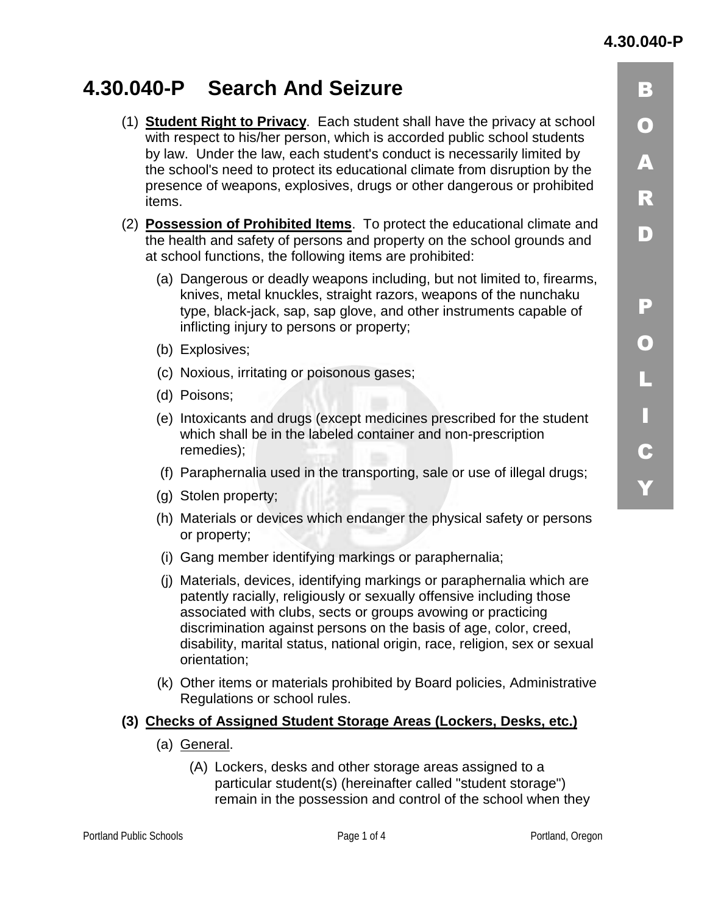## **4.30.040-P**

 $\vert$  3

 $\bigcirc$ 

A.

R

 $\bf D$ 

-

 $\mathbf{O}$ 

-

 -

 $\overline{\mathbf{c}}$ 

Y.

# **4.30.040-P Search And Seizure**

- (1) **Student Right to Privacy**. Each student shall have the privacy at school with respect to his/her person, which is accorded public school students by law. Under the law, each student's conduct is necessarily limited by the school's need to protect its educational climate from disruption by the presence of weapons, explosives, drugs or other dangerous or prohibited items.
- (2) **Possession of Prohibited Items**. To protect the educational climate and the health and safety of persons and property on the school grounds and at school functions, the following items are prohibited:
	- (a) Dangerous or deadly weapons including, but not limited to, firearms, knives, metal knuckles, straight razors, weapons of the nunchaku type, black-jack, sap, sap glove, and other instruments capable of inflicting injury to persons or property;
	- (b) Explosives;
	- (c) Noxious, irritating or poisonous gases;
	- (d) Poisons;
	- (e) Intoxicants and drugs (except medicines prescribed for the student which shall be in the labeled container and non-prescription remedies);
	- (f) Paraphernalia used in the transporting, sale or use of illegal drugs;
	- (g) Stolen property;
	- (h) Materials or devices which endanger the physical safety or persons or property;
	- (i) Gang member identifying markings or paraphernalia;
	- (j) Materials, devices, identifying markings or paraphernalia which are patently racially, religiously or sexually offensive including those associated with clubs, sects or groups avowing or practicing discrimination against persons on the basis of age, color, creed, disability, marital status, national origin, race, religion, sex or sexual orientation;
	- (k) Other items or materials prohibited by Board policies, Administrative Regulations or school rules.

## **(3) Checks of Assigned Student Storage Areas (Lockers, Desks, etc.)**

- (a) General.
	- (A) Lockers, desks and other storage areas assigned to a particular student(s) (hereinafter called "student storage") remain in the possession and control of the school when they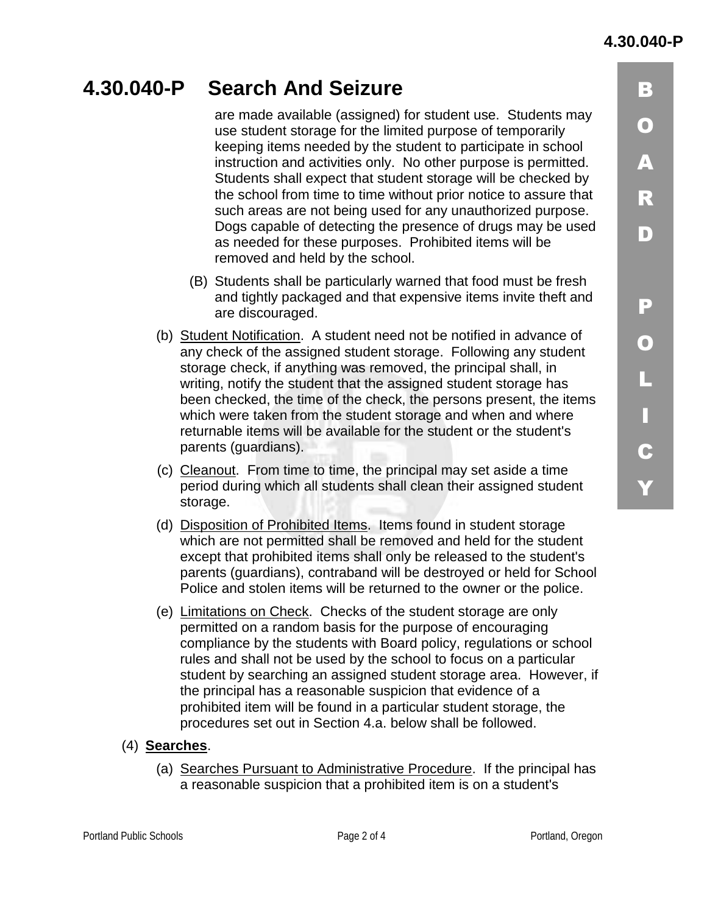$\vert$  3

 $\bigcirc$ 

 $\blacktriangle$ 

 $\overline{\mathbf{R}}$ 

 $\blacksquare$ 

-

0

-

 -

 $\overline{\mathbf{c}}$ 

Y.

## **4.30.040-P Search And Seizure**  are made available (assigned) for student use. Students may use student storage for the limited purpose of temporarily keeping items needed by the student to participate in school instruction and activities only. No other purpose is permitted. Students shall expect that student storage will be checked by the school from time to time without prior notice to assure that such areas are not being used for any unauthorized purpose. Dogs capable of detecting the presence of drugs may be used as needed for these purposes. Prohibited items will be removed and held by the school. (B) Students shall be particularly warned that food must be fresh and tightly packaged and that expensive items invite theft and are discouraged. (b) Student Notification. A student need not be notified in advance of any check of the assigned student storage. Following any student storage check, if anything was removed, the principal shall, in

- writing, notify the student that the assigned student storage has been checked, the time of the check, the persons present, the items which were taken from the student storage and when and where returnable items will be available for the student or the student's parents (guardians).
- (c) Cleanout. From time to time, the principal may set aside a time period during which all students shall clean their assigned student storage.
- (d) Disposition of Prohibited Items. Items found in student storage which are not permitted shall be removed and held for the student except that prohibited items shall only be released to the student's parents (guardians), contraband will be destroyed or held for School Police and stolen items will be returned to the owner or the police.
- (e) Limitations on Check. Checks of the student storage are only permitted on a random basis for the purpose of encouraging compliance by the students with Board policy, regulations or school rules and shall not be used by the school to focus on a particular student by searching an assigned student storage area. However, if the principal has a reasonable suspicion that evidence of a prohibited item will be found in a particular student storage, the procedures set out in Section 4.a. below shall be followed.
- (4) **Searches**.
	- (a) Searches Pursuant to Administrative Procedure. If the principal has a reasonable suspicion that a prohibited item is on a student's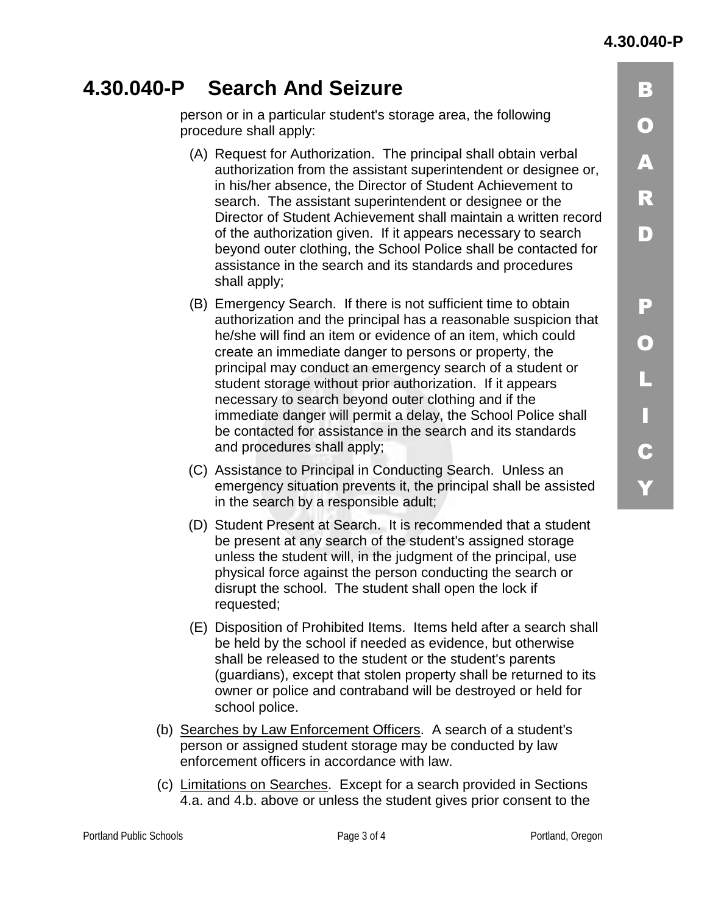$\overline{\mathbf{R}}$ 

 $\bf D$ 

-

0

-

 -

 $\overline{\mathbf{c}}$ 

Y.

# **4.30.040-P Search And Seizure**

person or in a particular student's storage area, the following procedure shall apply:

- (A) Request for Authorization. The principal shall obtain verbal authorization from the assistant superintendent or designee or, in his/her absence, the Director of Student Achievement to search. The assistant superintendent or designee or the Director of Student Achievement shall maintain a written record of the authorization given. If it appears necessary to search beyond outer clothing, the School Police shall be contacted for assistance in the search and its standards and procedures shall apply;
- (B) Emergency Search. If there is not sufficient time to obtain authorization and the principal has a reasonable suspicion that he/she will find an item or evidence of an item, which could create an immediate danger to persons or property, the principal may conduct an emergency search of a student or student storage without prior authorization. If it appears necessary to search beyond outer clothing and if the immediate danger will permit a delay, the School Police shall be contacted for assistance in the search and its standards and procedures shall apply;
- (C) Assistance to Principal in Conducting Search. Unless an emergency situation prevents it, the principal shall be assisted in the search by a responsible adult;
- (D) Student Present at Search. It is recommended that a student be present at any search of the student's assigned storage unless the student will, in the judgment of the principal, use physical force against the person conducting the search or disrupt the school. The student shall open the lock if requested;
- (E) Disposition of Prohibited Items. Items held after a search shall be held by the school if needed as evidence, but otherwise shall be released to the student or the student's parents (guardians), except that stolen property shall be returned to its owner or police and contraband will be destroyed or held for school police.
- (b) Searches by Law Enforcement Officers. A search of a student's person or assigned student storage may be conducted by law enforcement officers in accordance with law.
- (c) Limitations on Searches. Except for a search provided in Sections 4.a. and 4.b. above or unless the student gives prior consent to the